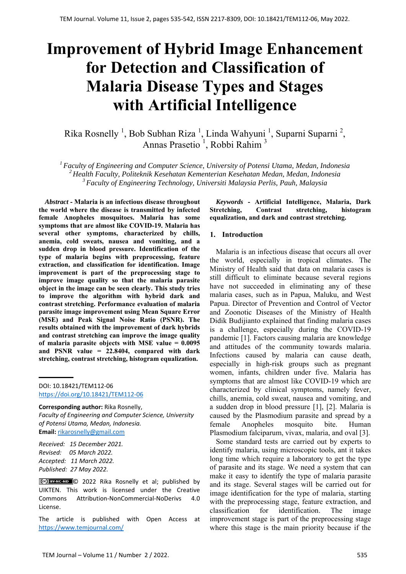# **Improvement of Hybrid Image Enhancement for Detection and Classification of Malaria Disease Types and Stages with Artificial Intelligence**

Rika Rosnelly<sup>1</sup>, Bob Subhan Riza<sup>1</sup>, Linda Wahyuni<sup>1</sup>, Suparni Suparni<sup>2</sup>, Annas Prasetio<sup>1</sup>, Robbi Rahim<sup>3</sup>

*1 Faculty of Engineering and Computer Science, University of Potensi Utama, Medan, Indonesia 2 Health Faculty, Politeknik Kesehatan Kementerian Kesehatan Medan, Medan, Indonesia 3 Faculty of Engineering Technology, Universiti Malaysia Perlis, Pauh, Malaysia*

*Abstract* **- Malaria is an infectious disease throughout the world where the disease is transmitted by infected female Anopheles mosquitoes. Malaria has some symptoms that are almost like COVID-19. Malaria has several other symptoms, characterized by chills, anemia, cold sweats, nausea and vomiting, and a sudden drop in blood pressure. Identification of the type of malaria begins with preprocessing, feature extraction, and classification for identification. Image improvement is part of the preprocessing stage to improve image quality so that the malaria parasite object in the image can be seen clearly. This study tries to improve the algorithm with hybrid dark and contrast stretching. Performance evaluation of malaria parasite image improvement using Mean Square Error (MSE) and Peak Signal Noise Ratio (PSNR). The results obtained with the improvement of dark hybrids and contrast stretching can improve the image quality of malaria parasite objects with MSE value = 0.0095 and PSNR value = 22.8404, compared with dark stretching, contrast stretching, histogram equalization.** 

DOI: 10.18421/TEM112-06 [https://doi.org/10.18421/TEM112](https://doi.org/10.18421/TEM112-06)-06

**Corresponding author:** Rika Rosnelly, *Faculty of Engineering and Computer Science, University of Potensi Utama, Medan, Indonesia.*  **Email:** rikarosnelly@gmail.com

*Received: 15 December 2021. Revised: 05 March 2022. Accepted: 11 March 2022. Published: 27 May 2022.* 

© 2022 Rika Rosnelly et al; published by UIKTEN. This work is licensed under the Creative Commons Attribution‐NonCommercial‐NoDerivs 4.0 License.

The article is published with Open Access at https://www.temjournal.com/

*Keywords* **- Artificial Intelligence, Malaria, Dark Stretching, Contrast stretching, histogram equalization, and dark and contrast stretching.** 

## **1. Introduction**

Malaria is an infectious disease that occurs all over the world, especially in tropical climates. The Ministry of Health said that data on malaria cases is still difficult to eliminate because several regions have not succeeded in eliminating any of these malaria cases, such as in Papua, Maluku, and West Papua. Director of Prevention and Control of Vector and Zoonotic Diseases of the Ministry of Health Didik Budijianto explained that finding malaria cases is a challenge, especially during the COVID-19 pandemic [1]. Factors causing malaria are knowledge and attitudes of the community towards malaria. Infections caused by malaria can cause death, especially in high-risk groups such as pregnant women, infants, children under five. Malaria has symptoms that are almost like COVID-19 which are characterized by clinical symptoms, namely fever, chills, anemia, cold sweat, nausea and vomiting, and a sudden drop in blood pressure [1], [2]. Malaria is caused by the Plasmodium parasite and spread by a female Anopheles mosquito bite. Human Plasmodium falciparum, vivax, malaria, and oval [3].

Some standard tests are carried out by experts to identify malaria, using microscopic tools, ant it takes long time which require a laboratory to get the type of parasite and its stage. We need a system that can make it easy to identify the type of malaria parasite and its stage. Several stages will be carried out for image identification for the type of malaria, starting with the preprocessing stage, feature extraction, and classification for identification. The image improvement stage is part of the preprocessing stage where this stage is the main priority because if the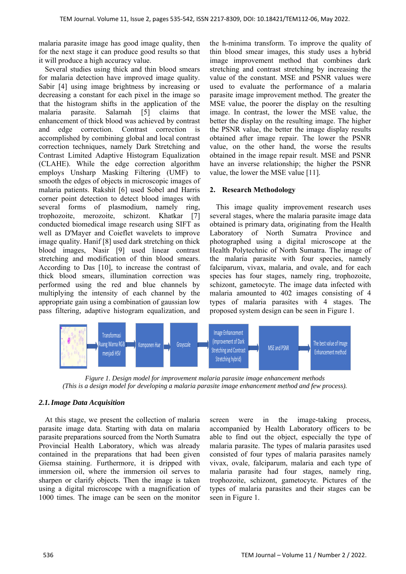malaria parasite image has good image quality, then for the next stage it can produce good results so that it will produce a high accuracy value.

Several studies using thick and thin blood smears for malaria detection have improved image quality. Sabir [4] using image brightness by increasing or decreasing a constant for each pixel in the image so that the histogram shifts in the application of the malaria parasite. Salamah [5] claims that enhancement of thick blood was achieved by contrast and edge correction. Contrast correction is accomplished by combining global and local contrast correction techniques, namely Dark Stretching and Contrast Limited Adaptive Histogram Equalization (CLAHE). While the edge correction algorithm employs Unsharp Masking Filtering (UMF) to smooth the edges of objects in microscopic images of malaria patients. Rakshit [6] used Sobel and Harris corner point detection to detect blood images with several forms of plasmodium, namely ring, trophozoite, merozoite, schizont. Khatkar [7] conducted biomedical image research using SIFT as well as D'Mayer and Coieflet wavelets to improve image quality. Hanif [8] used dark stretching on thick blood images, Nasir [9] used linear contrast stretching and modification of thin blood smears. According to Das [10], to increase the contrast of thick blood smears, illumination correction was performed using the red and blue channels by multiplying the intensity of each channel by the appropriate gain using a combination of gaussian low pass filtering, adaptive histogram equalization, and

the h-minima transform. To improve the quality of thin blood smear images, this study uses a hybrid image improvement method that combines dark stretching and contrast stretching by increasing the value of the constant. MSE and PSNR values were used to evaluate the performance of a malaria parasite image improvement method. The greater the MSE value, the poorer the display on the resulting image. In contrast, the lower the MSE value, the better the display on the resulting image. The higher the PSNR value, the better the image display results obtained after image repair. The lower the PSNR value, on the other hand, the worse the results obtained in the image repair result. MSE and PSNR have an inverse relationship; the higher the PSNR value, the lower the MSE value [11].

## **2. Research Methodology**

This image quality improvement research uses several stages, where the malaria parasite image data obtained is primary data, originating from the Health Laboratory of North Sumatra Province and photographed using a digital microscope at the Health Polytechnic of North Sumatra. The image of the malaria parasite with four species, namely falciparum, vivax, malaria, and ovale, and for each species has four stages, namely ring, trophozoite, schizont, gametocyte. The image data infected with malaria amounted to 402 images consisting of 4 types of malaria parasites with 4 stages. The proposed system design can be seen in Figure 1.



*Figure 1. Design model for improvement malaria parasite image enhancement methods (This is a design model for developing a malaria parasite image enhancement method and few process).* 

## *2.1.Image Data Acquisition*

At this stage, we present the collection of malaria parasite image data. Starting with data on malaria parasite preparations sourced from the North Sumatra Provincial Health Laboratory, which was already contained in the preparations that had been given Giemsa staining. Furthermore, it is dripped with immersion oil, where the immersion oil serves to sharpen or clarify objects. Then the image is taken using a digital microscope with a magnification of 1000 times. The image can be seen on the monitor

screen were in the image-taking process, accompanied by Health Laboratory officers to be able to find out the object, especially the type of malaria parasite. The types of malaria parasites used consisted of four types of malaria parasites namely vivax, ovale, falciparum, malaria and each type of malaria parasite had four stages, namely ring, trophozoite, schizont, gametocyte. Pictures of the types of malaria parasites and their stages can be seen in Figure 1.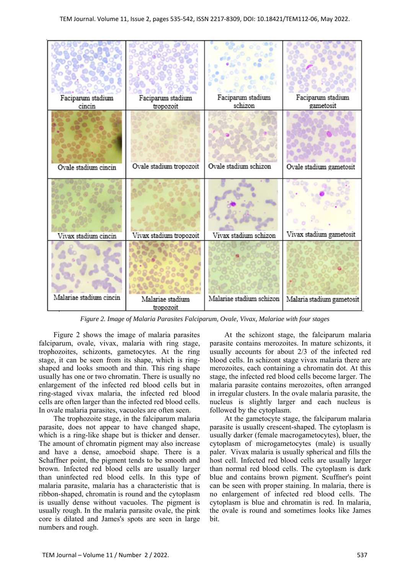

*Figure 2. Image of Malaria Parasites Falciparum, Ovale, Vivax, Malariae with four stages* 

Figure 2 shows the image of malaria parasites falciparum, ovale, vivax, malaria with ring stage, trophozoites, schizonts, gametocytes. At the ring stage, it can be seen from its shape, which is ringshaped and looks smooth and thin. This ring shape usually has one or two chromatin. There is usually no enlargement of the infected red blood cells but in ring-staged vivax malaria, the infected red blood cells are often larger than the infected red blood cells. In ovale malaria parasites, vacuoles are often seen.

The trophozoite stage, in the falciparum malaria parasite, does not appear to have changed shape, which is a ring-like shape but is thicker and denser. The amount of chromatin pigment may also increase and have a dense, amoeboid shape. There is a Schaffner point, the pigment tends to be smooth and brown. Infected red blood cells are usually larger than uninfected red blood cells. In this type of malaria parasite, malaria has a characteristic that is ribbon-shaped, chromatin is round and the cytoplasm is usually dense without vacuoles. The pigment is usually rough. In the malaria parasite ovale, the pink core is dilated and James's spots are seen in large numbers and rough.

At the schizont stage, the falciparum malaria parasite contains merozoites. In mature schizonts, it usually accounts for about 2/3 of the infected red blood cells. In schizont stage vivax malaria there are merozoites, each containing a chromatin dot. At this stage, the infected red blood cells become larger. The malaria parasite contains merozoites, often arranged in irregular clusters. In the ovale malaria parasite, the nucleus is slightly larger and each nucleus is followed by the cytoplasm.

At the gametocyte stage, the falciparum malaria parasite is usually crescent-shaped. The cytoplasm is usually darker (female macrogametocytes), bluer, the cytoplasm of microgametocytes (male) is usually paler. Vivax malaria is usually spherical and fills the host cell. Infected red blood cells are usually larger than normal red blood cells. The cytoplasm is dark blue and contains brown pigment. Scuffner's point can be seen with proper staining. In malaria, there is no enlargement of infected red blood cells. The cytoplasm is blue and chromatin is red. In malaria, the ovale is round and sometimes looks like James bit.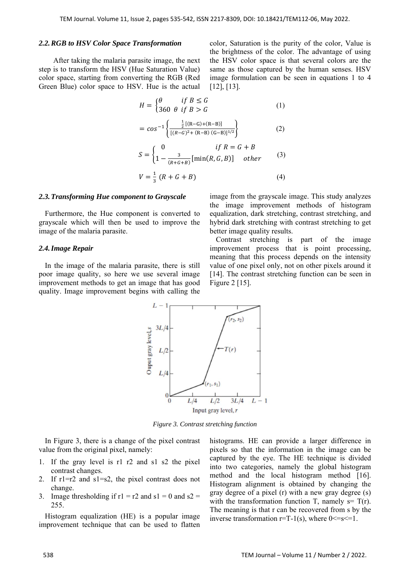### *2.2.RGB to HSV Color Space Transformation*

After taking the malaria parasite image, the next step is to transform the HSV (Hue Saturation Value) color space, starting from converting the RGB (Red Green Blue) color space to HSV. Hue is the actual

color, Saturation is the purity of the color, Value is the brightness of the color. The advantage of using the HSV color space is that several colors are the same as those captured by the human senses. HSV image formulation can be seen in equations 1 to 4 [12], [13].

$$
H = \begin{cases} \theta & \text{if } B \le G \\ 360 & \theta \text{ if } B > G \end{cases}
$$
 (1)

$$
= \cos^{-1}\left\{\frac{\frac{1}{2}\left[(R-G)+(R-B)\right]}{\left[(R-G)^2+(R-B)\left((G-B)\right)\right]^{1/2}}\right\} \tag{2}
$$

$$
S = \begin{cases} 0 & \text{if } R = G + B \\ 1 - \frac{3}{(R + G + B)} [\min(R, G, B)] & \text{other} \end{cases}
$$
(3)  

$$
V = \frac{1}{3} (R + G + B)
$$
(4)

#### *2.3.Transforming Hue component to Grayscale*

Furthermore, the Hue component is converted to grayscale which will then be used to improve the image of the malaria parasite.

#### *2.4.Image Repair*

In the image of the malaria parasite, there is still poor image quality, so here we use several image improvement methods to get an image that has good quality. Image improvement begins with calling the image from the grayscale image. This study analyzes the image improvement methods of histogram equalization, dark stretching, contrast stretching, and hybrid dark stretching with contrast stretching to get better image quality results.

Contrast stretching is part of the image improvement process that is point processing, meaning that this process depends on the intensity value of one pixel only, not on other pixels around it [14]. The contrast stretching function can be seen in Figure 2 [15].



*Figure 3. Contrast stretching function* 

In Figure 3, there is a change of the pixel contrast value from the original pixel, namely:

- 1. If the gray level is r1 r2 and s1 s2 the pixel contrast changes.
- 2. If  $r1=r2$  and  $s1=s2$ , the pixel contrast does not change.
- 3. Image thresholding if  $r1 = r2$  and  $s1 = 0$  and  $s2 =$ 255.

Histogram equalization (HE) is a popular image improvement technique that can be used to flatten histograms. HE can provide a larger difference in pixels so that the information in the image can be captured by the eye. The HE technique is divided into two categories, namely the global histogram method and the local histogram method [16]. Histogram alignment is obtained by changing the gray degree of a pixel (r) with a new gray degree (s) with the transformation function T, namely  $s = T(r)$ . The meaning is that r can be recovered from s by the inverse transformation  $r=T-1(s)$ , where  $0 \le s \le 1$ .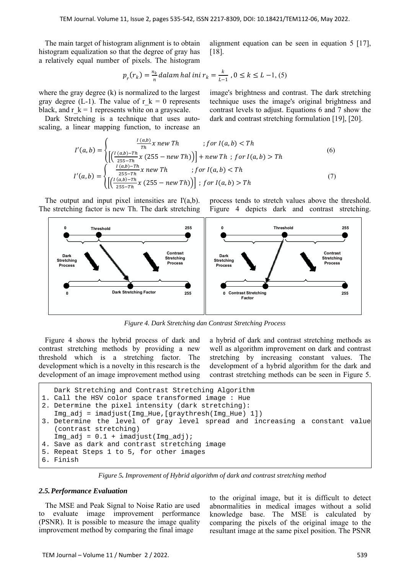The main target of histogram alignment is to obtain histogram equalization so that the degree of gray has a relatively equal number of pixels. The histogram alignment equation can be seen in equation 5 [17], [18].

image's brightness and contrast. The dark stretching technique uses the image's original brightness and contrast levels to adjust. Equations 6 and 7 show the dark and contrast stretching formulation [19], [20].

$$
p_r(r_k) = \frac{n_k}{n} \text{dalam hal ini } r_k = \frac{k}{L-1}, 0 \le k \le L-1, (5)
$$

where the gray degree (k) is normalized to the largest gray degree (L-1). The value of r  $k = 0$  represents black, and  $r_k = 1$  represents white on a grayscale.

Dark Stretching is a technique that uses autoscaling, a linear mapping function, to increase an

$$
I'(a,b) = \begin{cases} \frac{I(a,b)}{\tau h} x \, new \, Th & ; for I(a,b) < Th \\ \left[ \left( \frac{I(a,b) - Th}{255 - Th} x \, (255 - new \, Th) \right) \right] + new \, Th & ; for I(a,b) > Th \end{cases} \tag{6}
$$
\n
$$
I'(a,b) = \begin{cases} \frac{I(a,b) - Th}{255 - Th} x \, new \, Th & ; for I(a,b) < Th \\ \left[ \left( \frac{I(a,b) - Th}{255 - Th} x \, (255 - new \, Th) \right) \right] ; for I(a,b) > Th \end{cases} \tag{7}
$$

The output and input pixel intensities are I'(a,b). The stretching factor is new Th. The dark stretching process tends to stretch values above the threshold. Figure 4 depicts dark and contrast stretching.



*Figure 4. Dark Stretching dan Contrast Stretching Process* 

Figure 4 shows the hybrid process of dark and contrast stretching methods by providing a new threshold which is a stretching factor. The development which is a novelty in this research is the development of an image improvement method using a hybrid of dark and contrast stretching methods as well as algorithm improvement on dark and contrast stretching by increasing constant values. The development of a hybrid algorithm for the dark and contrast stretching methods can be seen in Figure 5.

```
Dark Stretching and Contrast Stretching Algorithm 
1. Call the HSV color space transformed image : Hue 
2. Determine the pixel intensity (dark stretching): 
  Img_adj = imadjust(Img_Hue,[graythresh(Img_Hue) 1]) 
3. Determine the level of gray level spread and increasing a constant value 
   (contrast stretching) 
  Img adj = 0.1 + imadjust(Img adj);
4. Save as dark and contrast stretching image 
5. Repeat Steps 1 to 5, for other images 
6. Finish
```
*Figure 5. Improvement of Hybrid algorithm of dark and contrast stretching method*

## *2.5.Performance Evaluation*

The MSE and Peak Signal to Noise Ratio are used to evaluate image improvement performance (PSNR). It is possible to measure the image quality improvement method by comparing the final image

to the original image, but it is difficult to detect abnormalities in medical images without a solid knowledge base. The MSE is calculated by comparing the pixels of the original image to the resultant image at the same pixel position. The PSNR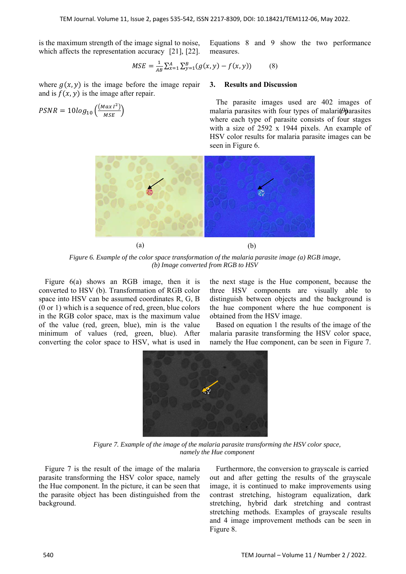is the maximum strength of the image signal to noise, which affects the representation accuracy [21], [22].

Equations 8 and 9 show the two performance measures.

$$
MSE = \frac{1}{AB} \sum_{x=1}^{A} \sum_{y=1}^{B} (g(x, y) - f(x, y))
$$
(8)

where  $g(x, y)$  is the image before the image repair and is  $f(x, y)$  is the image after repair.

$$
PSNR = 10log_{10}\left(\frac{(Max\,I^2)}{MSE}\right)
$$

**3. Results and Discussion** 

 $\frac{max_1}{MSE}$ ) malaria parasites with four types of malaria parasites The parasite images used are 402 images of where each type of parasite consists of four stages with a size of 2592 x 1944 pixels. An example of HSV color results for malaria parasite images can be seen in Figure 6.



*Figure 6. Example of the color space transformation of the malaria parasite image (a) RGB image, (b) Image converted from RGB to HSV* 

Figure 6(a) shows an RGB image, then it is converted to HSV (b). Transformation of RGB color space into HSV can be assumed coordinates R, G, B (0 or 1) which is a sequence of red, green, blue colors in the RGB color space, max is the maximum value of the value (red, green, blue), min is the value minimum of values (red, green, blue). After converting the color space to HSV, what is used in

the next stage is the Hue component, because the three HSV components are visually able to distinguish between objects and the background is the hue component where the hue component is obtained from the HSV image.

Based on equation 1 the results of the image of the malaria parasite transforming the HSV color space, namely the Hue component, can be seen in Figure 7.



*Figure 7. Example of the image of the malaria parasite transforming the HSV color space, namely the Hue component* 

Figure 7 is the result of the image of the malaria parasite transforming the HSV color space, namely the Hue component. In the picture, it can be seen that the parasite object has been distinguished from the background.

Furthermore, the conversion to grayscale is carried out and after getting the results of the grayscale image, it is continued to make improvements using contrast stretching, histogram equalization, dark stretching, hybrid dark stretching and contrast stretching methods. Examples of grayscale results and 4 image improvement methods can be seen in Figure 8.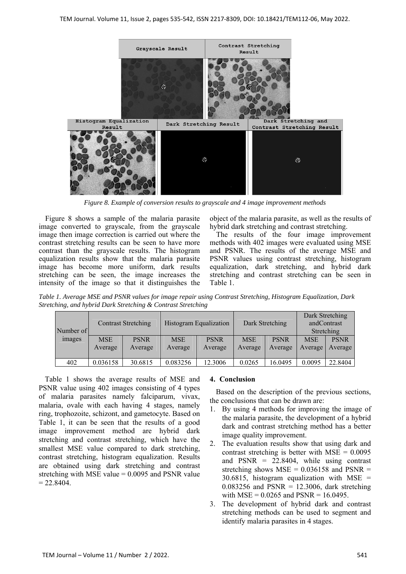

*Figure 8. Example of conversion results to grayscale and 4 image improvement methods* 

Figure 8 shows a sample of the malaria parasite image converted to grayscale, from the grayscale image then image correction is carried out where the contrast stretching results can be seen to have more contrast than the grayscale results. The histogram equalization results show that the malaria parasite image has become more uniform, dark results stretching can be seen, the image increases the intensity of the image so that it distinguishes the object of the malaria parasite, as well as the results of hybrid dark stretching and contrast stretching.

The results of the four image improvement methods with 402 images were evaluated using MSE and PSNR. The results of the average MSE and PSNR values using contrast stretching, histogram equalization, dark stretching, and hybrid dark stretching and contrast stretching can be seen in Table 1.

*Table 1. Average MSE and PSNR values for image repair using Contrast Stretching, Histogram Equalization, Dark Stretching, and hybrid Dark Stretching & Contrast Stretching* 

| Number of     | <b>Contrast Stretching</b> |             | Histogram Equalization |             | Dark Stretching |             | Dark Stretching<br>andContrast<br>Stretching |             |
|---------------|----------------------------|-------------|------------------------|-------------|-----------------|-------------|----------------------------------------------|-------------|
| <i>images</i> | <b>MSE</b>                 | <b>PSNR</b> | <b>MSE</b>             | <b>PSNR</b> | <b>MSE</b>      | <b>PSNR</b> | <b>MSE</b>                                   | <b>PSNR</b> |
|               | Average                    | Average     | Average                | Average     | Average         | Average     | Average                                      | Average     |
|               |                            |             |                        |             |                 |             |                                              |             |
| 402           | 0.036158                   | 30.6815     | 0.083256               | 12.3006     | 0.0265          | 16.0495     | 0.0095                                       | 22.8404     |

Table 1 shows the average results of MSE and PSNR value using 402 images consisting of 4 types of malaria parasites namely falciparum, vivax, malaria, ovale with each having 4 stages, namely ring, trophozoite, schizont, and gametocyte. Based on Table 1, it can be seen that the results of a good image improvement method are hybrid dark stretching and contrast stretching, which have the smallest MSE value compared to dark stretching, contrast stretching, histogram equalization. Results are obtained using dark stretching and contrast stretching with MSE value  $= 0.0095$  and PSNR value  $= 22.8404.$ 

## **4. Conclusion**

Based on the description of the previous sections, the conclusions that can be drawn are:

- 1. By using 4 methods for improving the image of the malaria parasite, the development of a hybrid dark and contrast stretching method has a better image quality improvement.
- 2. The evaluation results show that using dark and contrast stretching is better with  $MSE = 0.0095$ and  $PSNR = 22.8404$ , while using contrast stretching shows  $MSE = 0.036158$  and  $PSNR =$  $30.6815$ , histogram equalization with MSE =  $0.083256$  and PSNR = 12.3006, dark stretching with  $MSE = 0.0265$  and  $PSNR = 16.0495$ .
- 3. The development of hybrid dark and contrast stretching methods can be used to segment and identify malaria parasites in 4 stages.